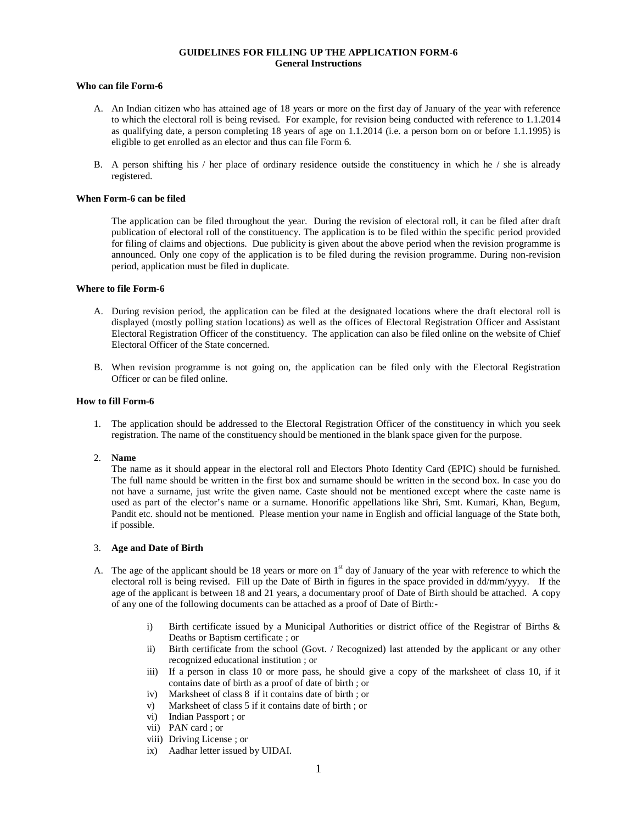# **GUIDELINES FOR FILLING UP THE APPLICATION FORM-6 General Instructions**

# **Who can file Form-6**

- A. An Indian citizen who has attained age of 18 years or more on the first day of January of the year with reference to which the electoral roll is being revised. For example, for revision being conducted with reference to 1.1.2014 as qualifying date, a person completing 18 years of age on 1.1.2014 (i.e. a person born on or before 1.1.1995) is eligible to get enrolled as an elector and thus can file Form 6.
- B. A person shifting his  $/$  her place of ordinary residence outside the constituency in which he  $/$  she is already registered.

### **When Form-6 can be filed**

The application can be filed throughout the year. During the revision of electoral roll, it can be filed after draft publication of electoral roll of the constituency. The application is to be filed within the specific period provided for filing of claims and objections. Due publicity is given about the above period when the revision programme is announced. Only one copy of the application is to be filed during the revision programme. During non-revision period, application must be filed in duplicate.

### **Where to file Form-6**

- A. During revision period, the application can be filed at the designated locations where the draft electoral roll is displayed (mostly polling station locations) as well as the offices of Electoral Registration Officer and Assistant Electoral Registration Officer of the constituency. The application can also be filed online on the website of Chief Electoral Officer of the State concerned.
- B. When revision programme is not going on, the application can be filed only with the Electoral Registration Officer or can be filed online.

## **How to fill Form-6**

1. The application should be addressed to the Electoral Registration Officer of the constituency in which you seek registration. The name of the constituency should be mentioned in the blank space given for the purpose.

## 2. **Name**

The name as it should appear in the electoral roll and Electors Photo Identity Card (EPIC) should be furnished. The full name should be written in the first box and surname should be written in the second box. In case you do not have a surname, just write the given name. Caste should not be mentioned except where the caste name is used as part of the elector's name or a surname. Honorific appellations like Shri, Smt. Kumari, Khan, Begum, Pandit etc. should not be mentioned. Please mention your name in English and official language of the State both, if possible.

## 3. **Age and Date of Birth**

- A. The age of the applicant should be 18 years or more on  $1<sup>st</sup>$  day of January of the year with reference to which the electoral roll is being revised. Fill up the Date of Birth in figures in the space provided in dd/mm/yyyy. If the age of the applicant is between 18 and 21 years, a documentary proof of Date of Birth should be attached. A copy of any one of the following documents can be attached as a proof of Date of Birth:
	- i) Birth certificate issued by a Municipal Authorities or district office of the Registrar of Births & Deaths or Baptism certificate ; or
	- ii) Birth certificate from the school (Govt. / Recognized) last attended by the applicant or any other recognized educational institution ; or
	- iii) If a person in class 10 or more pass, he should give a copy of the marksheet of class 10, if it contains date of birth as a proof of date of birth ; or
	- iv) Marksheet of class 8 if it contains date of birth ; or
	- v) Marksheet of class 5 if it contains date of birth ; or
	- vi) Indian Passport ; or
	- vii) PAN card ; or
	- viii) Driving License ; or
	- ix) Aadhar letter issued by UIDAI.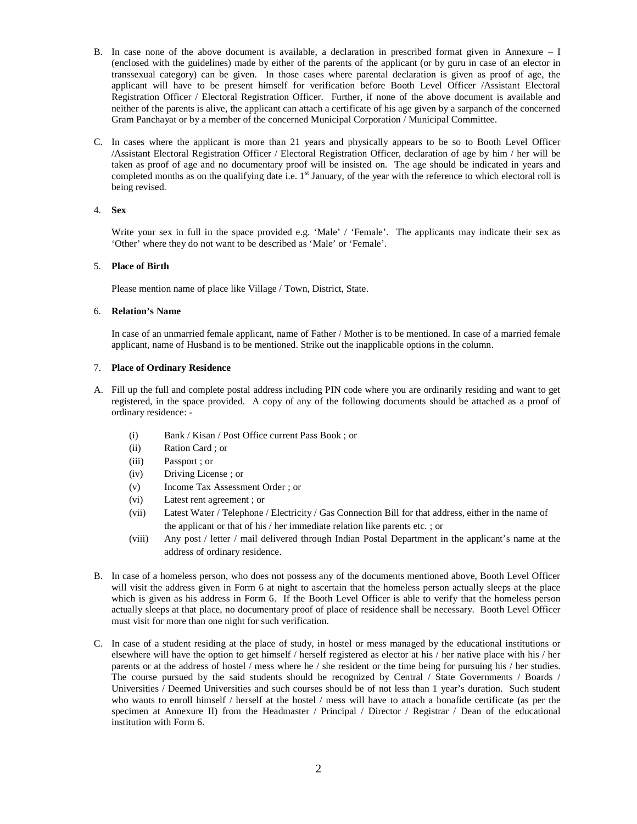- B. In case none of the above document is available, a declaration in prescribed format given in Annexure I (enclosed with the guidelines) made by either of the parents of the applicant (or by guru in case of an elector in transsexual category) can be given. In those cases where parental declaration is given as proof of age, the applicant will have to be present himself for verification before Booth Level Officer /Assistant Electoral Registration Officer / Electoral Registration Officer. Further, if none of the above document is available and neither of the parents is alive, the applicant can attach a certificate of his age given by a sarpanch of the concerned Gram Panchayat or by a member of the concerned Municipal Corporation / Municipal Committee.
- C. In cases where the applicant is more than 21 years and physically appears to be so to Booth Level Officer /Assistant Electoral Registration Officer / Electoral Registration Officer, declaration of age by him / her will be taken as proof of age and no documentary proof will be insisted on. The age should be indicated in years and completed months as on the qualifying date i.e.  $1<sup>st</sup>$  January, of the year with the reference to which electoral roll is being revised.

# 4. **Sex**

Write your sex in full in the space provided e.g. 'Male' / 'Female'. The applicants may indicate their sex as 'Other' where they do not want to be described as 'Male' or 'Female'.

## 5. **Place of Birth**

Please mention name of place like Village / Town, District, State.

## 6. **Relation's Name**

In case of an unmarried female applicant, name of Father / Mother is to be mentioned. In case of a married female applicant, name of Husband is to be mentioned. Strike out the inapplicable options in the column.

## 7. **Place of Ordinary Residence**

- A. Fill up the full and complete postal address including PIN code where you are ordinarily residing and want to get registered, in the space provided. A copy of any of the following documents should be attached as a proof of ordinary residence: -
	- (i) Bank / Kisan / Post Office current Pass Book ; or
	- (ii) Ration Card ; or
	- (iii) Passport ; or
	- (iv) Driving License ; or
	- (v) Income Tax Assessment Order ; or
	- (vi) Latest rent agreement ; or
	- (vii) Latest Water / Telephone / Electricity / Gas Connection Bill for that address, either in the name of the applicant or that of his / her immediate relation like parents etc. ; or
	- (viii) Any post / letter / mail delivered through Indian Postal Department in the applicant's name at the address of ordinary residence.
- B. In case of a homeless person, who does not possess any of the documents mentioned above, Booth Level Officer will visit the address given in Form 6 at night to ascertain that the homeless person actually sleeps at the place which is given as his address in Form 6. If the Booth Level Officer is able to verify that the homeless person actually sleeps at that place, no documentary proof of place of residence shall be necessary. Booth Level Officer must visit for more than one night for such verification.
- C. In case of a student residing at the place of study, in hostel or mess managed by the educational institutions or elsewhere will have the option to get himself / herself registered as elector at his / her native place with his / her parents or at the address of hostel / mess where he / she resident or the time being for pursuing his / her studies. The course pursued by the said students should be recognized by Central / State Governments / Boards / Universities / Deemed Universities and such courses should be of not less than 1 year's duration. Such student who wants to enroll himself / herself at the hostel / mess will have to attach a bonafide certificate (as per the specimen at Annexure II) from the Headmaster / Principal / Director / Registrar / Dean of the educational institution with Form 6.